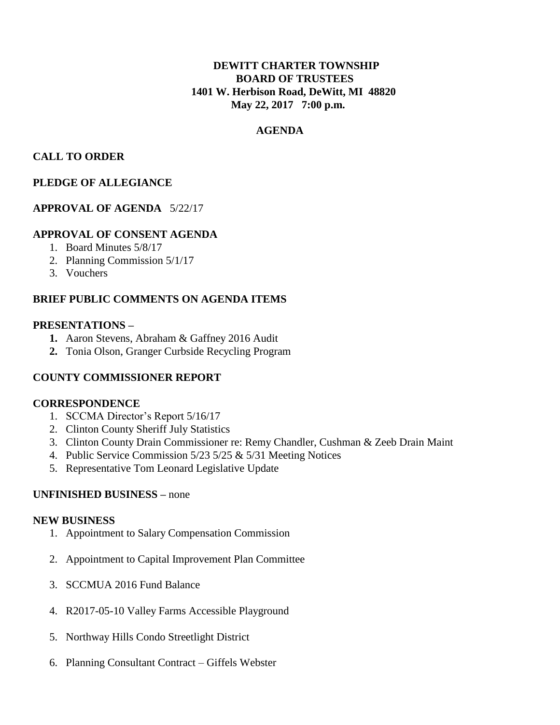# **DEWITT CHARTER TOWNSHIP BOARD OF TRUSTEES 1401 W. Herbison Road, DeWitt, MI 48820 May 22, 2017 7:00 p.m.**

## **AGENDA**

## **CALL TO ORDER**

## **PLEDGE OF ALLEGIANCE**

### **APPROVAL OF AGENDA** 5/22/17

### **APPROVAL OF CONSENT AGENDA**

- 1. Board Minutes 5/8/17
- 2. Planning Commission 5/1/17
- 3. Vouchers

## **BRIEF PUBLIC COMMENTS ON AGENDA ITEMS**

### **PRESENTATIONS –**

- **1.** Aaron Stevens, Abraham & Gaffney 2016 Audit
- **2.** Tonia Olson, Granger Curbside Recycling Program

### **COUNTY COMMISSIONER REPORT**

### **CORRESPONDENCE**

- 1. SCCMA Director's Report 5/16/17
- 2. Clinton County Sheriff July Statistics
- 3. Clinton County Drain Commissioner re: Remy Chandler, Cushman & Zeeb Drain Maint
- 4. Public Service Commission 5/23 5/25 & 5/31 Meeting Notices
- 5. Representative Tom Leonard Legislative Update

### **UNFINISHED BUSINESS –** none

#### **NEW BUSINESS**

- 1. Appointment to Salary Compensation Commission
- 2. Appointment to Capital Improvement Plan Committee
- 3. SCCMUA 2016 Fund Balance
- 4. R2017-05-10 Valley Farms Accessible Playground
- 5. Northway Hills Condo Streetlight District
- 6. Planning Consultant Contract Giffels Webster